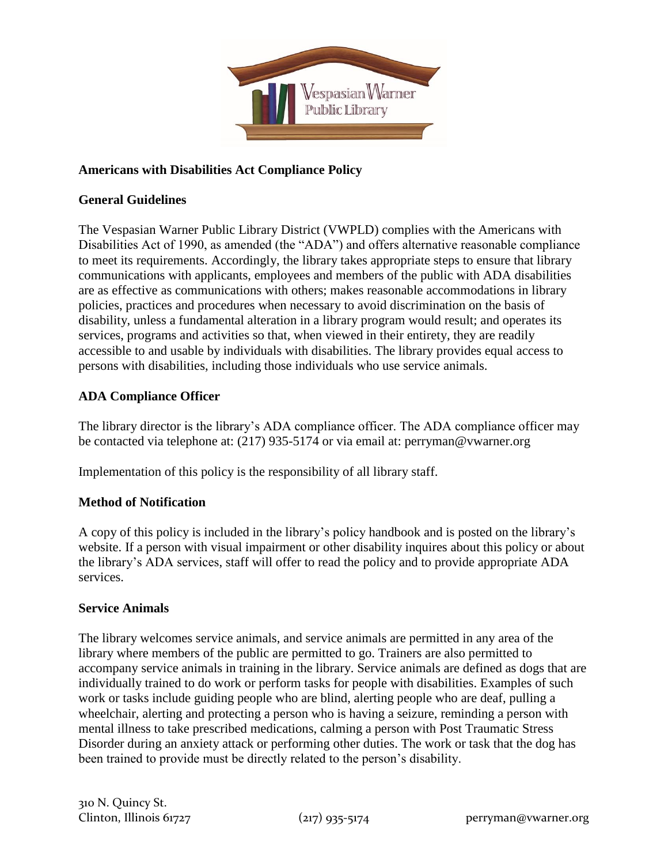

# **Americans with Disabilities Act Compliance Policy**

### **General Guidelines**

The Vespasian Warner Public Library District (VWPLD) complies with the Americans with Disabilities Act of 1990, as amended (the "ADA") and offers alternative reasonable compliance to meet its requirements. Accordingly, the library takes appropriate steps to ensure that library communications with applicants, employees and members of the public with ADA disabilities are as effective as communications with others; makes reasonable accommodations in library policies, practices and procedures when necessary to avoid discrimination on the basis of disability, unless a fundamental alteration in a library program would result; and operates its services, programs and activities so that, when viewed in their entirety, they are readily accessible to and usable by individuals with disabilities. The library provides equal access to persons with disabilities, including those individuals who use service animals.

# **ADA Compliance Officer**

The library director is the library's ADA compliance officer. The ADA compliance officer may be contacted via telephone at: (217) 935-5174 or via email at: perryman@vwarner.org

Implementation of this policy is the responsibility of all library staff.

# **Method of Notification**

A copy of this policy is included in the library's policy handbook and is posted on the library's website. If a person with visual impairment or other disability inquires about this policy or about the library's ADA services, staff will offer to read the policy and to provide appropriate ADA services.

### **Service Animals**

The library welcomes service animals, and service animals are permitted in any area of the library where members of the public are permitted to go. Trainers are also permitted to accompany service animals in training in the library. Service animals are defined as dogs that are individually trained to do work or perform tasks for people with disabilities. Examples of such work or tasks include guiding people who are blind, alerting people who are deaf, pulling a wheelchair, alerting and protecting a person who is having a seizure, reminding a person with mental illness to take prescribed medications, calming a person with Post Traumatic Stress Disorder during an anxiety attack or performing other duties. The work or task that the dog has been trained to provide must be directly related to the person's disability.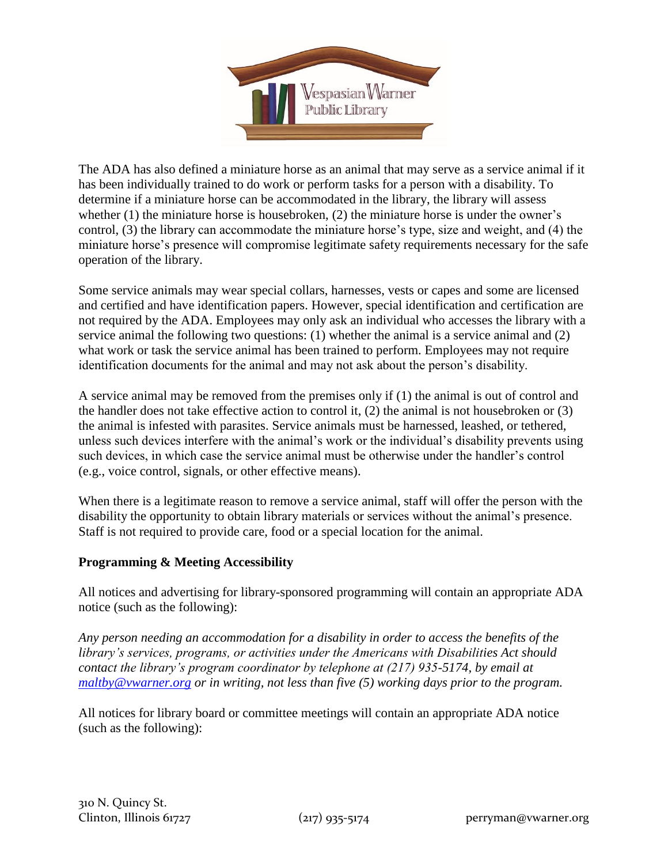

The ADA has also defined a miniature horse as an animal that may serve as a service animal if it has been individually trained to do work or perform tasks for a person with a disability. To determine if a miniature horse can be accommodated in the library, the library will assess whether (1) the miniature horse is housebroken, (2) the miniature horse is under the owner's control, (3) the library can accommodate the miniature horse's type, size and weight, and (4) the miniature horse's presence will compromise legitimate safety requirements necessary for the safe operation of the library.

Some service animals may wear special collars, harnesses, vests or capes and some are licensed and certified and have identification papers. However, special identification and certification are not required by the ADA. Employees may only ask an individual who accesses the library with a service animal the following two questions: (1) whether the animal is a service animal and (2) what work or task the service animal has been trained to perform. Employees may not require identification documents for the animal and may not ask about the person's disability.

A service animal may be removed from the premises only if (1) the animal is out of control and the handler does not take effective action to control it, (2) the animal is not housebroken or (3) the animal is infested with parasites. Service animals must be harnessed, leashed, or tethered, unless such devices interfere with the animal's work or the individual's disability prevents using such devices, in which case the service animal must be otherwise under the handler's control (e.g., voice control, signals, or other effective means).

When there is a legitimate reason to remove a service animal, staff will offer the person with the disability the opportunity to obtain library materials or services without the animal's presence. Staff is not required to provide care, food or a special location for the animal.

# **Programming & Meeting Accessibility**

All notices and advertising for library-sponsored programming will contain an appropriate ADA notice (such as the following):

*Any person needing an accommodation for a disability in order to access the benefits of the library's services, programs, or activities under the Americans with Disabilities Act should contact the library's program coordinator by telephone at (217) 935-5174, by email at [maltby@vwarner.org](mailto:maltby@vwarner.org) or in writing, not less than five (5) working days prior to the program.*

All notices for library board or committee meetings will contain an appropriate ADA notice (such as the following):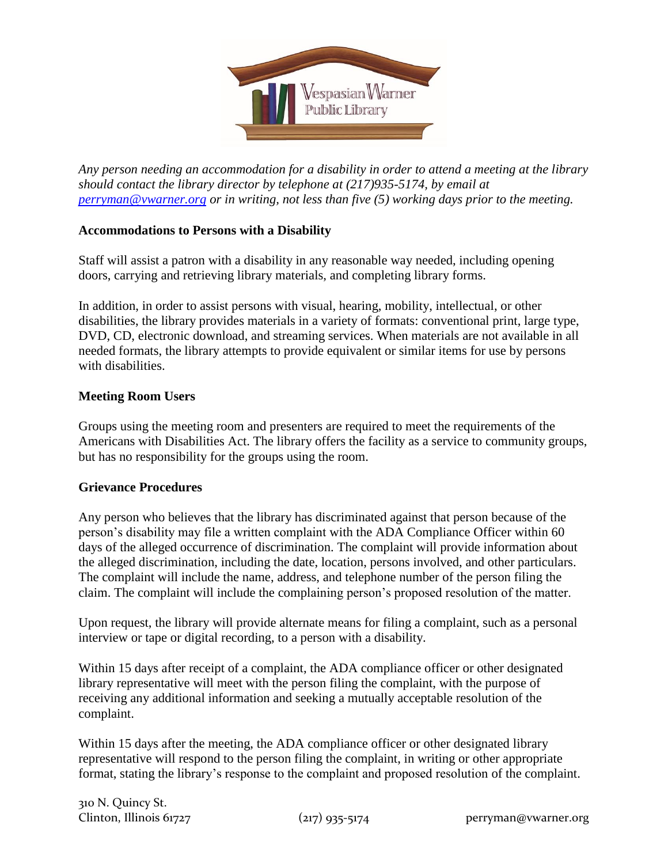

*Any person needing an accommodation for a disability in order to attend a meeting at the library should contact the library director by telephone at (217)935-5174, by email at perryman@vwarner.org or in writing, not less than five (5) working days prior to the meeting.*

# **Accommodations to Persons with a Disability**

Staff will assist a patron with a disability in any reasonable way needed, including opening doors, carrying and retrieving library materials, and completing library forms.

In addition, in order to assist persons with visual, hearing, mobility, intellectual, or other disabilities, the library provides materials in a variety of formats: conventional print, large type, DVD, CD, electronic download, and streaming services. When materials are not available in all needed formats, the library attempts to provide equivalent or similar items for use by persons with disabilities.

# **Meeting Room Users**

Groups using the meeting room and presenters are required to meet the requirements of the Americans with Disabilities Act. The library offers the facility as a service to community groups, but has no responsibility for the groups using the room.

# **Grievance Procedures**

Any person who believes that the library has discriminated against that person because of the person's disability may file a written complaint with the ADA Compliance Officer within 60 days of the alleged occurrence of discrimination. The complaint will provide information about the alleged discrimination, including the date, location, persons involved, and other particulars. The complaint will include the name, address, and telephone number of the person filing the claim. The complaint will include the complaining person's proposed resolution of the matter.

Upon request, the library will provide alternate means for filing a complaint, such as a personal interview or tape or digital recording, to a person with a disability.

Within 15 days after receipt of a complaint, the ADA compliance officer or other designated library representative will meet with the person filing the complaint, with the purpose of receiving any additional information and seeking a mutually acceptable resolution of the complaint.

Within 15 days after the meeting, the ADA compliance officer or other designated library representative will respond to the person filing the complaint, in writing or other appropriate format, stating the library's response to the complaint and proposed resolution of the complaint.